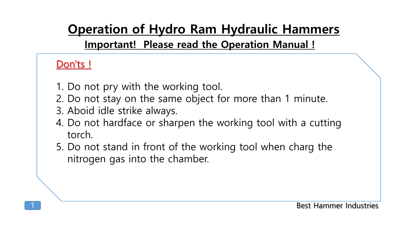**Important! Please read the Operation Manual !**

#### Don'ts!

- 1. Do not pry with the working tool.
- 2. Do not stay on the same object for more than 1 minute.
- 3. Aboid idle strike always.
- 4. Do not hardface or sharpen the working tool with a cutting torch.
- 5. Do not stand in front of the working tool when charg the nitrogen gas into the chamber.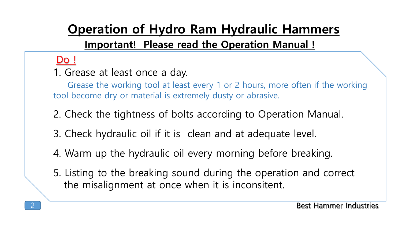#### $\overline{D}$

1. Grease at least once a day.

Grease the working tool at least every 1 or 2 hours, more often if the working tool become dry or material is extremely dusty or abrasive.

2. Check the tightness of bolts according to Operation Manual.

- 3. Check hydraulic oil if it is clean and at adequate level.
- 4. Warm up the hydraulic oil every morning before breaking.
- 5. Listing to the breaking sound during the operation and correct the misalignment at once when it is inconsitent.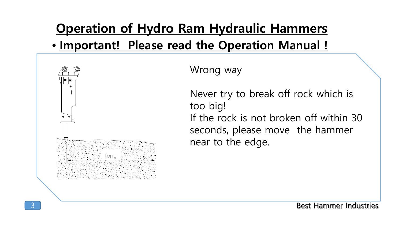#### • **Important! Please read the Operation Manual !**



Wrong way

Never try to break off rock which is too big! If the rock is not broken off within 30 seconds, please move the hammer near to the edge.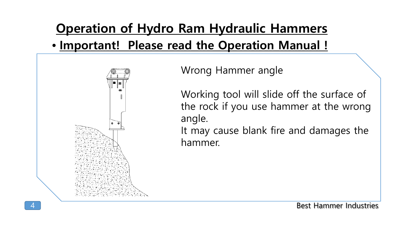

Wrong Hammer angle

Working tool will slide off the surface of the rock if you use hammer at the wrong angle.

It may cause blank fire and damages the hammer.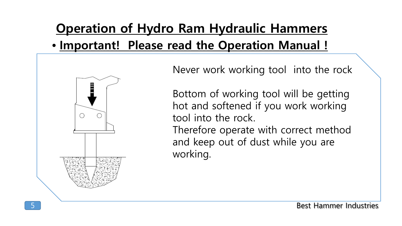

Never work working tool into the rock

Bottom of working tool will be getting hot and softened if you work working tool into the rock.

Therefore operate with correct method and keep out of dust while you are working.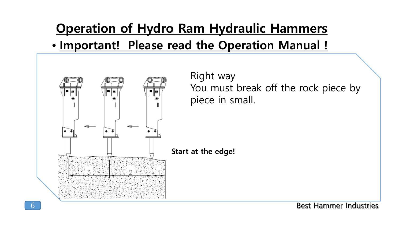

Right way You must break off the rock piece by piece in small.

**Start at the edge!**

Best Hammer Industries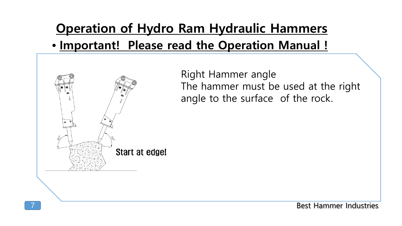

Right Hammer angle The hammer must be used at the right angle to the surface of the rock.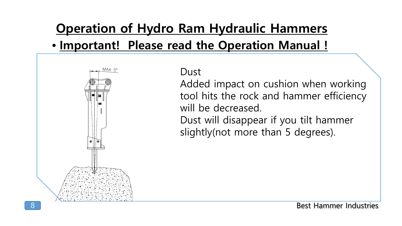

MAX 5°

Added impact on cushion when working tool hits the rock and hammer efficiency will be decreased.

Dust will disappear if you tilt hammer slightly(not more than 5 degrees).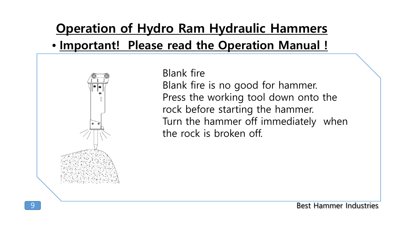

#### Blank fire

Blank fire is no good for hammer. Press the working tool down onto the rock before starting the hammer. Turn the hammer off immediately when the rock is broken off.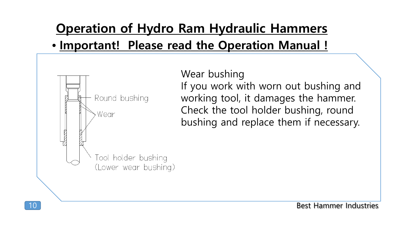

Wear bushing If you work with worn out bushing and working tool, it damages the hammer. Check the tool holder bushing, round bushing and replace them if necessary.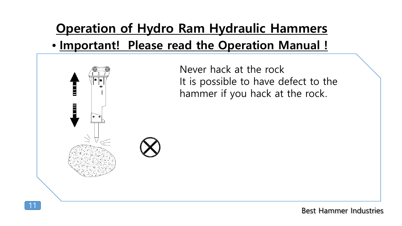

Never hack at the rock It is possible to have defect to the hammer if you hack at the rock.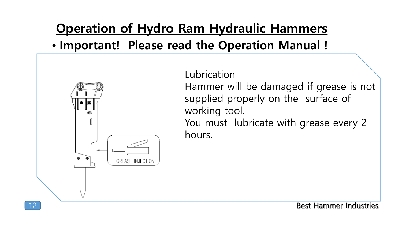

Lubrication Hammer will be damaged if grease is not supplied properly on the surface of working tool. You must lubricate with grease every 2 hours.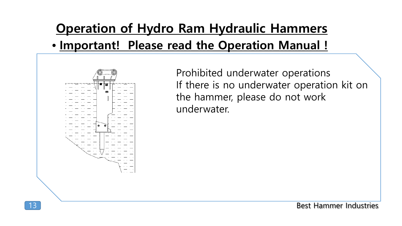

Prohibited underwater operations If there is no underwater operation kit on the hammer, please do not work underwater.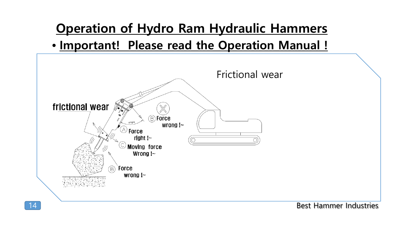

Best Hammer Industries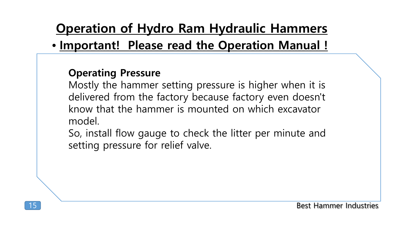#### • **Important! Please read the Operation Manual !**

#### **Operating Pressure**

Mostly the hammer setting pressure is higher when it is delivered from the factory because factory even doesn't know that the hammer is mounted on which excavator model.

So, install flow gauge to check the litter per minute and setting pressure for relief valve.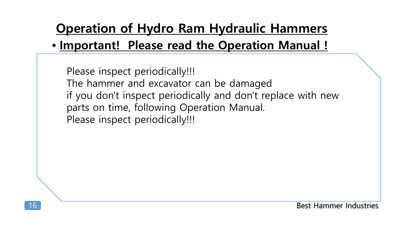#### • **Important! Please read the Operation Manual !**

Please inspect periodically!!! The hammer and excavator can be damaged if you don't inspect periodically and don't replace with new parts on time, following Operation Manual. Please inspect periodically!!!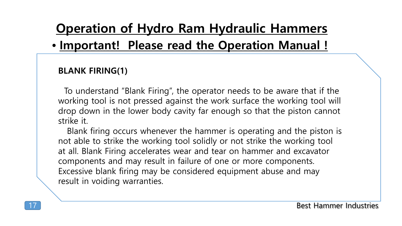#### • **Important! Please read the Operation Manual !**

#### **BLANK FIRING(1)**

To understand "Blank Firing", the operator needs to be aware that if the working tool is not pressed against the work surface the working tool will drop down in the lower body cavity far enough so that the piston cannot strike it.

Blank firing occurs whenever the hammer is operating and the piston is not able to strike the working tool solidly or not strike the working tool at all. Blank Firing accelerates wear and tear on hammer and excavator components and may result in failure of one or more components. Excessive blank firing may be considered equipment abuse and may result in voiding warranties.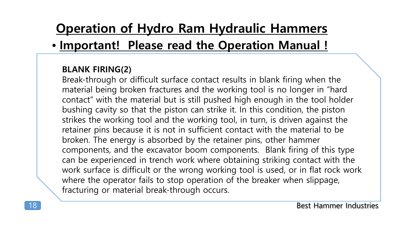#### • **Important! Please read the Operation Manual !**

#### **BLANK FIRING(2)**

Break-through or difficult surface contact results in blank firing when the material being broken fractures and the working tool is no longer in "hard contact" with the material but is still pushed high enough in the tool holder bushing cavity so that the piston can strike it. In this condition, the piston strikes the working tool and the working tool, in turn, is driven against the retainer pins because it is not in sufficient contact with the material to be broken. The energy is absorbed by the retainer pins, other hammer components, and the excavator boom components. Blank firing of this type can be experienced in trench work where obtaining striking contact with the work surface is difficult or the wrong working tool is used, or in flat rock work where the operator fails to stop operation of the breaker when slippage, fracturing or material break-through occurs.